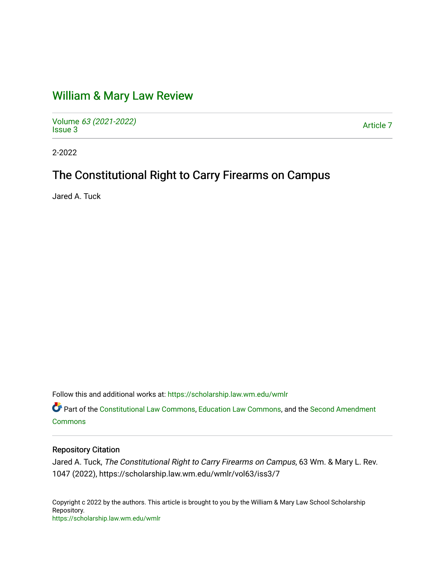# [William & Mary Law Review](https://scholarship.law.wm.edu/wmlr)

Volume [63 \(2021-2022\)](https://scholarship.law.wm.edu/wmlr/vol63)  volume os (2027-2022)<br>[Issue 3](https://scholarship.law.wm.edu/wmlr/vol63/iss3) Article 7

2-2022

# The Constitutional Right to Carry Firearms on Campus

Jared A. Tuck

Follow this and additional works at: [https://scholarship.law.wm.edu/wmlr](https://scholarship.law.wm.edu/wmlr?utm_source=scholarship.law.wm.edu%2Fwmlr%2Fvol63%2Fiss3%2F7&utm_medium=PDF&utm_campaign=PDFCoverPages)

Part of the [Constitutional Law Commons,](http://network.bepress.com/hgg/discipline/589?utm_source=scholarship.law.wm.edu%2Fwmlr%2Fvol63%2Fiss3%2F7&utm_medium=PDF&utm_campaign=PDFCoverPages) [Education Law Commons,](http://network.bepress.com/hgg/discipline/596?utm_source=scholarship.law.wm.edu%2Fwmlr%2Fvol63%2Fiss3%2F7&utm_medium=PDF&utm_campaign=PDFCoverPages) and the [Second Amendment](http://network.bepress.com/hgg/discipline/1119?utm_source=scholarship.law.wm.edu%2Fwmlr%2Fvol63%2Fiss3%2F7&utm_medium=PDF&utm_campaign=PDFCoverPages) **[Commons](http://network.bepress.com/hgg/discipline/1119?utm_source=scholarship.law.wm.edu%2Fwmlr%2Fvol63%2Fiss3%2F7&utm_medium=PDF&utm_campaign=PDFCoverPages)** 

## Repository Citation

Jared A. Tuck, The Constitutional Right to Carry Firearms on Campus, 63 Wm. & Mary L. Rev. 1047 (2022), https://scholarship.law.wm.edu/wmlr/vol63/iss3/7

Copyright c 2022 by the authors. This article is brought to you by the William & Mary Law School Scholarship Repository. <https://scholarship.law.wm.edu/wmlr>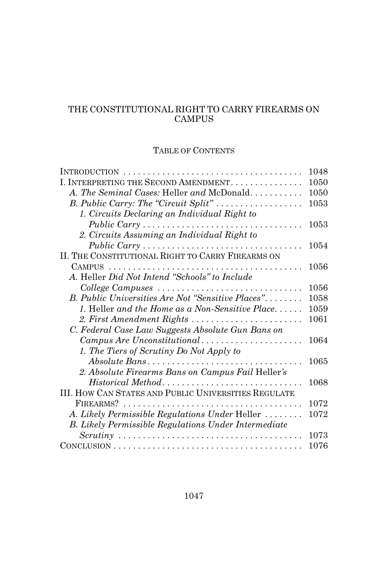# THE CONSTITUTIONAL RIGHT TO CARRY FIREARMS ON **CAMPUS**

# TABLE OF CONTENTS

|                                                                                                | 1048 |
|------------------------------------------------------------------------------------------------|------|
| I. INTERPRETING THE SECOND AMENDMENT.                                                          | 1050 |
| A. The Seminal Cases: Heller and McDonald                                                      | 1050 |
| B. Public Carry: The "Circuit Split" $\ldots \ldots \ldots \ldots \ldots$                      | 1053 |
| 1. Circuits Declaring an Individual Right to                                                   |      |
|                                                                                                | 1053 |
| 2. Circuits Assuming an Individual Right to                                                    |      |
|                                                                                                | 1054 |
| II. THE CONSTITUTIONAL RIGHT TO CARRY FIREARMS ON                                              |      |
| <b>CAMPUS</b>                                                                                  | 1056 |
| A. Heller Did Not Intend "Schools" to Include                                                  |      |
| College Campuses                                                                               | 1056 |
| B. Public Universities Are Not "Sensitive Places"                                              | 1058 |
| 1. Heller and the Home as a Non-Sensitive Place                                                | 1059 |
| 2. First Amendment Rights                                                                      | 1061 |
| C. Federal Case Law Suggests Absolute Gun Bans on                                              |      |
|                                                                                                | 1064 |
| 1. The Tiers of Scrutiny Do Not Apply to                                                       |      |
| Absolute Bans                                                                                  | 1065 |
| 2. Absolute Firearms Bans on Campus Fail Heller's                                              |      |
| Historical Method                                                                              | 1068 |
| III. HOW CAN STATES AND PUBLIC UNIVERSITIES REGULATE                                           |      |
|                                                                                                | 1072 |
| A. Likely Permissible Regulations Under Heller                                                 | 1072 |
| <b>B.</b> Likely Permissible Regulations Under Intermediate                                    |      |
| $Scrutiny \ldots \ldots \ldots \ldots \ldots \ldots \ldots \ldots \ldots \ldots \ldots \ldots$ | 1073 |
|                                                                                                | 1076 |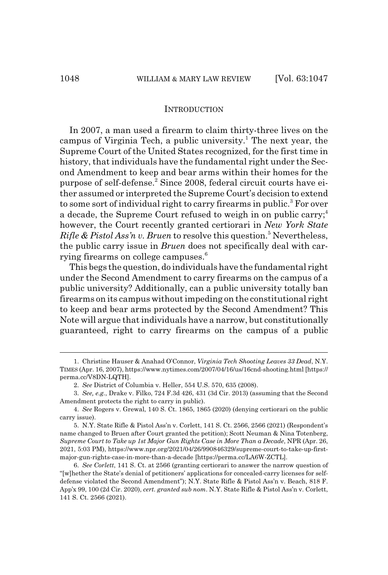#### **INTRODUCTION**

In 2007, a man used a firearm to claim thirty-three lives on the campus of Virginia Tech, a public university.<sup>1</sup> The next year, the Supreme Court of the United States recognized, for the first time in history, that individuals have the fundamental right under the Second Amendment to keep and bear arms within their homes for the purpose of self-defense.<sup>2</sup> Since 2008, federal circuit courts have either assumed or interpreted the Supreme Court's decision to extend to some sort of individual right to carry firearms in public.<sup>3</sup> For over a decade, the Supreme Court refused to weigh in on public carry;<sup>4</sup> however, the Court recently granted certiorari in *New York State Rifle & Pistol Ass'n v. Bruen* to resolve this question.<sup>5</sup> Nevertheless, the public carry issue in *Bruen* does not specifically deal with carrying firearms on college campuses.6

This begs the question, do individuals have the fundamental right under the Second Amendment to carry firearms on the campus of a public university? Additionally, can a public university totally ban firearms on its campus without impeding on the constitutional right to keep and bear arms protected by the Second Amendment? This Note will argue that individuals have a narrow, but constitutionally guaranteed, right to carry firearms on the campus of a public

<sup>1.</sup> Christine Hauser & Anahad O'Connor, *Virginia Tech Shooting Leaves 33 Dead*, N.Y. TIMES (Apr. 16, 2007), https://www.nytimes.com/2007/04/16/us/16cnd-shooting.html [https:// perma.cc/V8DN-LQTH].

<sup>2.</sup> *See* District of Columbia v. Heller, 554 U.S. 570, 635 (2008).

<sup>3.</sup> *See, e.g.*, Drake v. Filko, 724 F.3d 426, 431 (3d Cir. 2013) (assuming that the Second Amendment protects the right to carry in public).

<sup>4.</sup> *See* Rogers v. Grewal, 140 S. Ct. 1865, 1865 (2020) (denying certiorari on the public carry issue).

<sup>5.</sup> N.Y. State Rifle & Pistol Ass'n v. Corlett, 141 S. Ct. 2566, 2566 (2021) (Respondent's name changed to Bruen after Court granted the petition); Scott Neuman & Nina Totenberg, *Supreme Court to Take up 1st Major Gun Rights Case in More Than a Decade*, NPR (Apr. 26, 2021, 5:03 PM), https://www.npr.org/2021/04/26/990846329/supreme-court-to-take-up-firstmajor-gun-rights-case-in-more-than-a-decade [https://perma.cc/LA6W-ZCTL].

<sup>6.</sup> *See Corlett*, 141 S. Ct. at 2566 (granting certiorari to answer the narrow question of "[w]hether the State's denial of petitioners' applications for concealed-carry licenses for selfdefense violated the Second Amendment"); N.Y. State Rifle & Pistol Ass'n v. Beach, 818 F. App'x 99, 100 (2d Cir. 2020), *cert. granted sub nom*. N.Y. State Rifle & Pistol Ass'n v. Corlett, 141 S. Ct. 2566 (2021).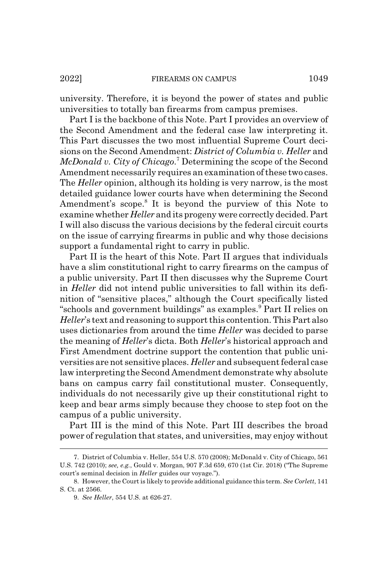university. Therefore, it is beyond the power of states and public universities to totally ban firearms from campus premises.

Part I is the backbone of this Note. Part I provides an overview of the Second Amendment and the federal case law interpreting it. This Part discusses the two most influential Supreme Court decisions on the Second Amendment: *District of Columbia v. Heller* and *McDonald v. City of Chicago*. 7 Determining the scope of the Second Amendment necessarily requires an examination of these two cases. The *Heller* opinion, although its holding is very narrow, is the most detailed guidance lower courts have when determining the Second Amendment's scope.<sup>8</sup> It is beyond the purview of this Note to examine whether *Heller* and its progeny were correctly decided. Part I will also discuss the various decisions by the federal circuit courts on the issue of carrying firearms in public and why those decisions support a fundamental right to carry in public.

Part II is the heart of this Note. Part II argues that individuals have a slim constitutional right to carry firearms on the campus of a public university. Part II then discusses why the Supreme Court in *Heller* did not intend public universities to fall within its definition of "sensitive places," although the Court specifically listed "schools and government buildings" as examples.<sup>9</sup> Part II relies on *Heller*'s text and reasoning to support this contention. This Part also uses dictionaries from around the time *Heller* was decided to parse the meaning of *Heller*'s dicta. Both *Heller*'s historical approach and First Amendment doctrine support the contention that public universities are not sensitive places. *Heller* and subsequent federal case law interpreting the Second Amendment demonstrate why absolute bans on campus carry fail constitutional muster. Consequently, individuals do not necessarily give up their constitutional right to keep and bear arms simply because they choose to step foot on the campus of a public university.

Part III is the mind of this Note. Part III describes the broad power of regulation that states, and universities, may enjoy without

<sup>7.</sup> District of Columbia v. Heller, 554 U.S. 570 (2008); McDonald v. City of Chicago, 561 U.S. 742 (2010); *see, e.g.*, Gould v. Morgan, 907 F.3d 659, 670 (1st Cir. 2018) ("The Supreme court's seminal decision in *Heller* guides our voyage.").

<sup>8.</sup> However, the Court is likely to provide additional guidance this term. *See Corlett*, 141 S. Ct. at 2566.

<sup>9.</sup> *See Heller*, 554 U.S. at 626-27.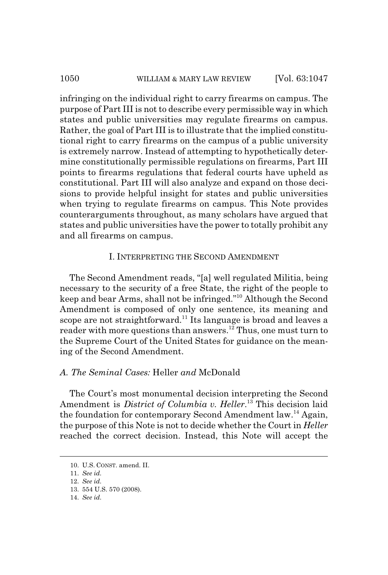## 1050 WILLIAM & MARY LAW REVIEW [Vol. 63:1047]

infringing on the individual right to carry firearms on campus. The purpose of Part III is not to describe every permissible way in which states and public universities may regulate firearms on campus. Rather, the goal of Part III is to illustrate that the implied constitutional right to carry firearms on the campus of a public university is extremely narrow. Instead of attempting to hypothetically determine constitutionally permissible regulations on firearms, Part III points to firearms regulations that federal courts have upheld as constitutional. Part III will also analyze and expand on those decisions to provide helpful insight for states and public universities when trying to regulate firearms on campus. This Note provides counterarguments throughout, as many scholars have argued that states and public universities have the power to totally prohibit any and all firearms on campus.

#### I. INTERPRETING THE SECOND AMENDMENT

The Second Amendment reads, "[a] well regulated Militia, being necessary to the security of a free State, the right of the people to keep and bear Arms, shall not be infringed."10 Although the Second Amendment is composed of only one sentence, its meaning and scope are not straightforward.<sup>11</sup> Its language is broad and leaves a reader with more questions than answers.<sup>12</sup> Thus, one must turn to the Supreme Court of the United States for guidance on the meaning of the Second Amendment.

## *A. The Seminal Cases:* Heller *and* McDonald

The Court's most monumental decision interpreting the Second Amendment is *District of Columbia v. Heller*. 13 This decision laid the foundation for contemporary Second Amendment law.<sup>14</sup> Again, the purpose of this Note is not to decide whether the Court in *Heller* reached the correct decision. Instead, this Note will accept the

<sup>10.</sup> U.S. CONST. amend. II.

<sup>11.</sup> *See id.*

<sup>12.</sup> *See id.*

<sup>13. 554</sup> U.S. 570 (2008).

<sup>14.</sup> *See id.*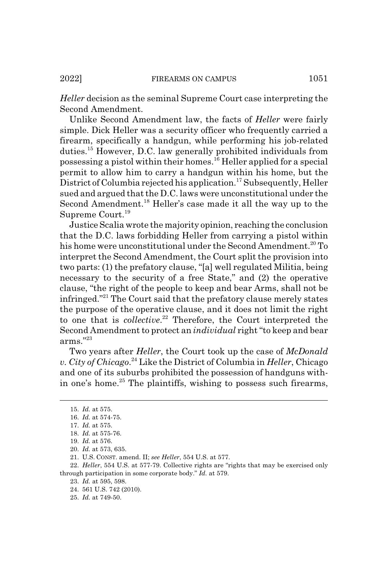*Heller* decision as the seminal Supreme Court case interpreting the Second Amendment.

Unlike Second Amendment law, the facts of *Heller* were fairly simple. Dick Heller was a security officer who frequently carried a firearm, specifically a handgun, while performing his job-related duties.15 However, D.C. law generally prohibited individuals from possessing a pistol within their homes.16 Heller applied for a special permit to allow him to carry a handgun within his home, but the District of Columbia rejected his application.<sup>17</sup> Subsequently, Heller sued and argued that the D.C. laws were unconstitutional under the Second Amendment.<sup>18</sup> Heller's case made it all the way up to the Supreme Court.<sup>19</sup>

Justice Scalia wrote the majority opinion, reaching the conclusion that the D.C. laws forbidding Heller from carrying a pistol within his home were unconstitutional under the Second Amendment.<sup>20</sup> To interpret the Second Amendment, the Court split the provision into two parts: (1) the prefatory clause, "[a] well regulated Militia, being necessary to the security of a free State," and (2) the operative clause, "the right of the people to keep and bear Arms, shall not be infringed."21 The Court said that the prefatory clause merely states the purpose of the operative clause, and it does not limit the right to one that is *collective*. 22 Therefore, the Court interpreted the Second Amendment to protect an *individual* right "to keep and bear arms."23

Two years after *Heller*, the Court took up the case of *McDonald v. City of Chicago*. 24 Like the District of Columbia in *Heller*, Chicago and one of its suburbs prohibited the possession of handguns within one's home.<sup>25</sup> The plaintiffs, wishing to possess such firearms,

<sup>15.</sup> *Id.* at 575.

<sup>16.</sup> *Id.* at 574-75.

<sup>17.</sup> *Id.* at 575.

<sup>18.</sup> *Id.* at 575-76.

<sup>19.</sup> *Id.* at 576.

<sup>20.</sup> *Id.* at 573, 635.

<sup>21.</sup> U.S. CONST. amend. II; *see Heller*, 554 U.S. at 577.

<sup>22.</sup> *Heller*, 554 U.S. at 577-79. Collective rights are "rights that may be exercised only through participation in some corporate body." *Id.* at 579.

<sup>23.</sup> *Id.* at 595, 598.

<sup>24. 561</sup> U.S. 742 (2010).

<sup>25.</sup> *Id.* at 749-50.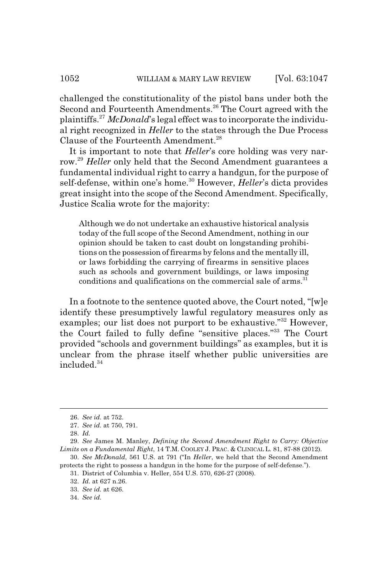challenged the constitutionality of the pistol bans under both the Second and Fourteenth Amendments.<sup>26</sup> The Court agreed with the plaintiffs.<sup>27</sup> *McDonald*'s legal effect was to incorporate the individual right recognized in *Heller* to the states through the Due Process Clause of the Fourteenth Amendment.<sup>28</sup>

It is important to note that *Heller*'s core holding was very narrow.<sup>29</sup> *Heller* only held that the Second Amendment guarantees a fundamental individual right to carry a handgun, for the purpose of self-defense, within one's home.30 However, *Heller*'s dicta provides great insight into the scope of the Second Amendment. Specifically, Justice Scalia wrote for the majority:

Although we do not undertake an exhaustive historical analysis today of the full scope of the Second Amendment, nothing in our opinion should be taken to cast doubt on longstanding prohibitions on the possession of firearms by felons and the mentally ill, or laws forbidding the carrying of firearms in sensitive places such as schools and government buildings, or laws imposing conditions and qualifications on the commercial sale of arms. $31$ 

In a footnote to the sentence quoted above, the Court noted, "[w]e identify these presumptively lawful regulatory measures only as examples; our list does not purport to be exhaustive."<sup>32</sup> However, the Court failed to fully define "sensitive places."33 The Court provided "schools and government buildings" as examples, but it is unclear from the phrase itself whether public universities are included.<sup>34</sup>

<sup>26.</sup> *See id.* at 752.

<sup>27.</sup> *See id.* at 750, 791.

<sup>28.</sup> *Id.*

<sup>29.</sup> *See* James M. Manley, *Defining the Second Amendment Right to Carry: Objective Limits on a Fundamental Right*, 14 T.M. COOLEY J. PRAC.&CLINICAL L. 81, 87-88 (2012).

<sup>30.</sup> *See McDonald*, 561 U.S. at 791 ("In *Heller*, we held that the Second Amendment protects the right to possess a handgun in the home for the purpose of self-defense.").

<sup>31.</sup> District of Columbia v. Heller, 554 U.S. 570, 626-27 (2008).

<sup>32.</sup> *Id.* at 627 n.26.

<sup>33.</sup> *See id.* at 626. 34. *See id.*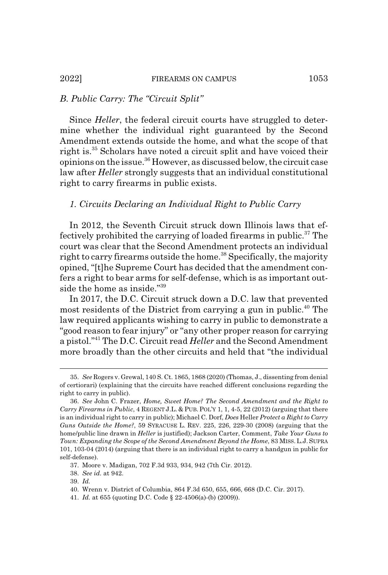## *B. Public Carry: The "Circuit Split"*

Since *Heller*, the federal circuit courts have struggled to determine whether the individual right guaranteed by the Second Amendment extends outside the home, and what the scope of that right is.35 Scholars have noted a circuit split and have voiced their opinions on the issue.36 However, as discussed below, the circuit case law after *Heller* strongly suggests that an individual constitutional right to carry firearms in public exists.

#### *1. Circuits Declaring an Individual Right to Public Carry*

In 2012, the Seventh Circuit struck down Illinois laws that effectively prohibited the carrying of loaded firearms in public.<sup>37</sup> The court was clear that the Second Amendment protects an individual right to carry firearms outside the home.<sup>38</sup> Specifically, the majority opined, "[t]he Supreme Court has decided that the amendment confers a right to bear arms for self-defense, which is as important outside the home as inside."39

In 2017, the D.C. Circuit struck down a D.C. law that prevented most residents of the District from carrying a gun in public.<sup>40</sup> The law required applicants wishing to carry in public to demonstrate a "good reason to fear injury" or "any other proper reason for carrying a pistol."41 The D.C. Circuit read *Heller* and the Second Amendment more broadly than the other circuits and held that "the individual

<sup>35.</sup> *See* Rogers v. Grewal, 140 S. Ct. 1865, 1868 (2020) (Thomas, J., dissenting from denial of certiorari) (explaining that the circuits have reached different conclusions regarding the right to carry in public).

<sup>36.</sup> *See* John C. Frazer, *Home, Sweet Home? The Second Amendment and the Right to Carry Firearms in Public*, 4 REGENT J.L. & PUB. POL'Y 1, 1, 4-5, 22 (2012) (arguing that there is an individual right to carry in public); Michael C. Dorf, *Does* Heller *Protect a Right to Carry Guns Outside the Home?*, 59 SYRACUSE L. REV. 225, 226, 229-30 (2008) (arguing that the home/public line drawn in *Heller* is justified); Jackson Carter, Comment, *Take Your Guns to Town: Expanding the Scope of the Second Amendment Beyond the Home*, 83 MISS. L.J. SUPRA 101, 103-04 (2014) (arguing that there is an individual right to carry a handgun in public for self-defense).

<sup>37.</sup> Moore v. Madigan, 702 F.3d 933, 934, 942 (7th Cir. 2012).

<sup>38.</sup> *See id.* at 942.

<sup>39.</sup> *Id.*

<sup>40.</sup> Wrenn v. District of Columbia, 864 F.3d 650, 655, 666, 668 (D.C. Cir. 2017).

<sup>41.</sup> *Id.* at 655 (quoting D.C. Code § 22-4506(a)-(b) (2009)).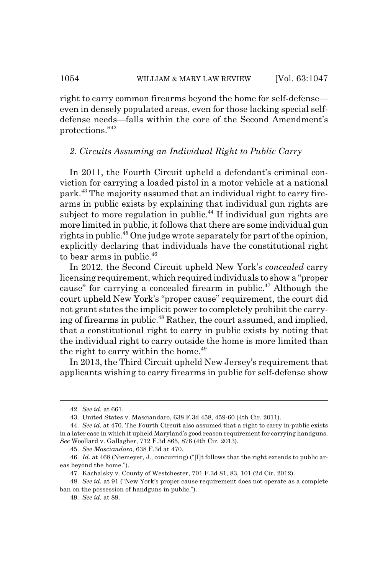right to carry common firearms beyond the home for self-defense even in densely populated areas, even for those lacking special selfdefense needs—falls within the core of the Second Amendment's protections."42

## *2. Circuits Assuming an Individual Right to Public Carry*

In 2011, the Fourth Circuit upheld a defendant's criminal conviction for carrying a loaded pistol in a motor vehicle at a national park.43 The majority assumed that an individual right to carry firearms in public exists by explaining that individual gun rights are subject to more regulation in public.<sup>44</sup> If individual gun rights are more limited in public, it follows that there are some individual gun rights in public.45 One judge wrote separately for part of the opinion, explicitly declaring that individuals have the constitutional right to bear arms in public.<sup>46</sup>

In 2012, the Second Circuit upheld New York's *concealed* carry licensing requirement, which required individuals to show a "proper cause" for carrying a concealed firearm in public.<sup>47</sup> Although the court upheld New York's "proper cause" requirement, the court did not grant states the implicit power to completely prohibit the carrying of firearms in public.<sup>48</sup> Rather, the court assumed, and implied, that a constitutional right to carry in public exists by noting that the individual right to carry outside the home is more limited than the right to carry within the home. $49$ 

In 2013, the Third Circuit upheld New Jersey's requirement that applicants wishing to carry firearms in public for self-defense show

<sup>42.</sup> *See id.* at 661.

<sup>43.</sup> United States v. Masciandaro, 638 F.3d 458, 459-60 (4th Cir. 2011).

<sup>44.</sup> *See id.* at 470. The Fourth Circuit also assumed that a right to carry in public exists in a later case in which it upheld Maryland's good reason requirement for carrying handguns. *See* Woollard v. Gallagher, 712 F.3d 865, 876 (4th Cir. 2013).

<sup>45.</sup> *See Masciandaro*, 638 F.3d at 470.

<sup>46.</sup> *Id.* at 468 (Niemeyer, J., concurring) ("[I]t follows that the right extends to public areas beyond the home.").

<sup>47.</sup> Kachalsky v. County of Westchester, 701 F.3d 81, 83, 101 (2d Cir. 2012).

<sup>48.</sup> *See id.* at 91 ("New York's proper cause requirement does not operate as a complete ban on the possession of handguns in public.").

<sup>49.</sup> *See id.* at 89.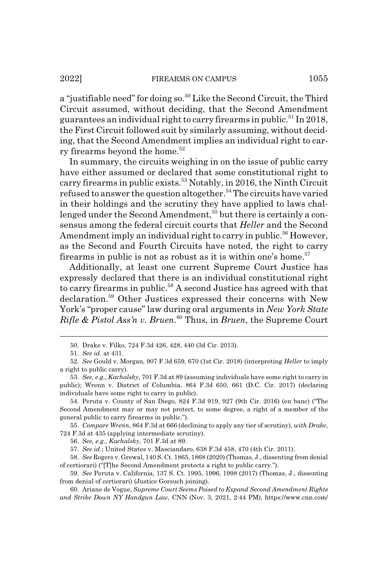2022] FIREARMS ON CAMPUS 1055

a "justifiable need" for doing so.<sup>50</sup> Like the Second Circuit, the Third Circuit assumed, without deciding, that the Second Amendment guarantees an individual right to carry firearms in public.<sup>51</sup> In 2018, the First Circuit followed suit by similarly assuming, without deciding, that the Second Amendment implies an individual right to carry firearms beyond the home.<sup>52</sup>

In summary, the circuits weighing in on the issue of public carry have either assumed or declared that some constitutional right to carry firearms in public exists.<sup>53</sup> Notably, in 2016, the Ninth Circuit refused to answer the question altogether.<sup>54</sup> The circuits have varied in their holdings and the scrutiny they have applied to laws challenged under the Second Amendment,<sup>55</sup> but there is certainly a consensus among the federal circuit courts that *Heller* and the Second Amendment imply an individual right to carry in public.<sup>56</sup> However, as the Second and Fourth Circuits have noted, the right to carry firearms in public is not as robust as it is within one's home.<sup>57</sup>

Additionally, at least one current Supreme Court Justice has expressly declared that there is an individual constitutional right to carry firearms in public.<sup>58</sup> A second Justice has agreed with that declaration.59 Other Justices expressed their concerns with New York's "proper cause" law during oral arguments in *New York State Rifle & Pistol Ass'n v. Bruen*. 60 Thus, in *Bruen*, the Supreme Court

54. Peruta v. County of San Diego, 824 F.3d 919, 927 (9th Cir. 2016) (en banc) ("The Second Amendment may or may not protect, to some degree, a right of a member of the general public to carry firearms in public.").

55. *Compare Wrenn*, 864 F.3d at 666 (declining to apply any tier of scrutiny), *with Drake*, 724 F.3d at 435 (applying intermediate scrutiny).

56. *See, e.g.*, *Kachalsky*, 701 F.3d at 89.

57. *See id.*; United States v. Masciandaro, 638 F.3d 458, 470 (4th Cir. 2011).

58. *See* Rogers v. Grewal, 140 S. Ct. 1865, 1868 (2020) (Thomas, J., dissenting from denial of certiorari) ("[T]he Second Amendment protects a right to public carry.").

59. *See* Peruta v. California, 137 S. Ct. 1995, 1996, 1998 (2017) (Thomas, J., dissenting from denial of certiorari) (Justice Gorsuch joining).

60. Ariane de Vogue, *Supreme Court Seems Poised to Expand Second Amendment Rights and Strike Down NY Handgun Law*, CNN (Nov. 3, 2021, 2:44 PM), https://www.cnn.com/

<sup>50.</sup> Drake v. Filko, 724 F.3d 426, 428, 440 (3d Cir. 2013).

<sup>51.</sup> *See id.* at 431.

<sup>52.</sup> *See* Gould v. Morgan, 907 F.3d 659, 670 (1st Cir. 2018) (interpreting *Heller* to imply a right to public carry).

<sup>53.</sup> *See, e.g.*, *Kachalsky*, 701 F.3d at 89 (assuming individuals have some right to carry in public); Wrenn v. District of Columbia, 864 F.3d 650, 661 (D.C. Cir. 2017) (declaring individuals have some right to carry in public).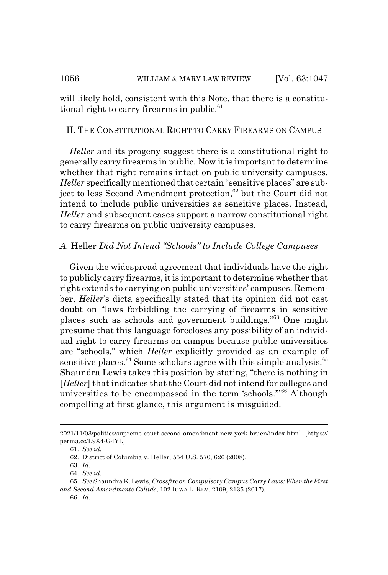will likely hold, consistent with this Note, that there is a constitutional right to carry firearms in public. $61$ 

## II. THE CONSTITUTIONAL RIGHT TO CARRY FIREARMS ON CAMPUS

*Heller* and its progeny suggest there is a constitutional right to generally carry firearms in public. Now it is important to determine whether that right remains intact on public university campuses. *Heller* specifically mentioned that certain "sensitive places" are subject to less Second Amendment protection,<sup>62</sup> but the Court did not intend to include public universities as sensitive places. Instead, *Heller* and subsequent cases support a narrow constitutional right to carry firearms on public university campuses.

## *A.* Heller *Did Not Intend "Schools" to Include College Campuses*

Given the widespread agreement that individuals have the right to publicly carry firearms, it is important to determine whether that right extends to carrying on public universities' campuses. Remember, *Heller*'s dicta specifically stated that its opinion did not cast doubt on "laws forbidding the carrying of firearms in sensitive places such as schools and government buildings."63 One might presume that this language forecloses any possibility of an individual right to carry firearms on campus because public universities are "schools," which *Heller* explicitly provided as an example of sensitive places. $64$  Some scholars agree with this simple analysis. $65$ Shaundra Lewis takes this position by stating, "there is nothing in [*Heller*] that indicates that the Court did not intend for colleges and universities to be encompassed in the term 'schools."<sup>66</sup> Although compelling at first glance, this argument is misguided.

<sup>2021/11/03/</sup>politics/supreme-court-second-amendment-new-york-bruen/index.html [https:// perma.cc/L9X4-G4YL].

<sup>61.</sup> *See id.*

<sup>62.</sup> District of Columbia v. Heller, 554 U.S. 570, 626 (2008).

<sup>63.</sup> *Id.*

<sup>64.</sup> *See id.*

<sup>65.</sup> *See* Shaundra K. Lewis, *Crossfire on Compulsory Campus Carry Laws: When the First and Second Amendments Collide*, 102 IOWA L. REV. 2109, 2135 (2017).

<sup>66.</sup> *Id.*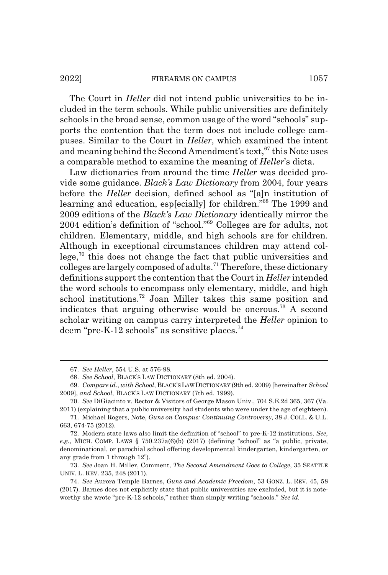#### 2022] **FIREARMS ON CAMPUS** 1057

The Court in *Heller* did not intend public universities to be included in the term schools. While public universities are definitely schools in the broad sense, common usage of the word "schools" supports the contention that the term does not include college campuses. Similar to the Court in *Heller*, which examined the intent and meaning behind the Second Amendment's text,  $67$  this Note uses a comparable method to examine the meaning of *Heller*'s dicta.

Law dictionaries from around the time *Heller* was decided provide some guidance. *Black's Law Dictionary* from 2004, four years before the *Heller* decision, defined school as "[a]n institution of learning and education, esp[ecially] for children."<sup>68</sup> The 1999 and 2009 editions of the *Black's Law Dictionary* identically mirror the 2004 edition's definition of "school."69 Colleges are for adults, not children. Elementary, middle, and high schools are for children. Although in exceptional circumstances children may attend college, $^{70}$  this does not change the fact that public universities and colleges are largely composed of adults.<sup>71</sup> Therefore, these dictionary definitions support the contention that the Court in *Heller* intended the word schools to encompass only elementary, middle, and high school institutions.72 Joan Miller takes this same position and indicates that arguing otherwise would be onerous.<sup>73</sup> A second scholar writing on campus carry interpreted the *Heller* opinion to deem "pre-K-12 schools" as sensitive places. $74$ 

<sup>67.</sup> *See Heller*, 554 U.S. at 576-98.

<sup>68.</sup> *See School*, BLACK'S LAW DICTIONARY (8th ed. 2004).

<sup>69.</sup> *Compare id.*, *with School*, BLACK'SLAWDICTIONARY (9th ed. 2009) [hereinafter *School* 2009], *and School*, BLACK'S LAW DICTIONARY (7th ed. 1999).

<sup>70.</sup> *See* DiGiacinto v. Rector & Visitors of George Mason Univ., 704 S.E.2d 365, 367 (Va. 2011) (explaining that a public university had students who were under the age of eighteen).

<sup>71.</sup> Michael Rogers, Note, *Guns on Campus: Continuing Controversy*, 38 J. COLL. & U.L. 663, 674-75 (2012).

<sup>72.</sup> Modern state laws also limit the definition of "school" to pre-K-12 institutions. *See, e.g.*, MICH. COMP. LAWS § 750.237a(6)(b) (2017) (defining "school" as "a public, private, denominational, or parochial school offering developmental kindergarten, kindergarten, or any grade from 1 through 12").

<sup>73.</sup> *See* Joan H. Miller, Comment, *The Second Amendment Goes to College*, 35 SEATTLE UNIV. L. REV. 235, 248 (2011).

<sup>74.</sup> *See* Aurora Temple Barnes, *Guns and Academic Freedom*, 53 GONZ. L. REV. 45, 58 (2017). Barnes does not explicitly state that public universities are excluded, but it is noteworthy she wrote "pre-K-12 schools," rather than simply writing "schools." *See id.*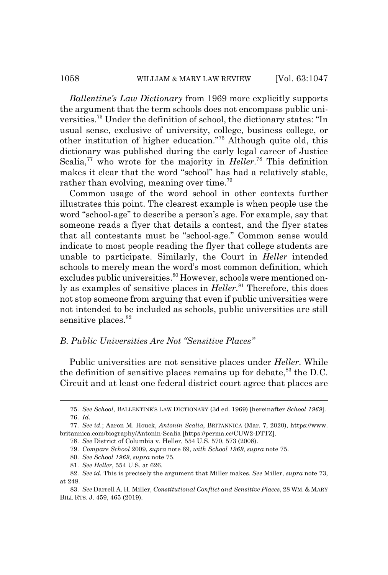#### 1058 WILLIAM & MARY LAW REVIEW [Vol. 63:1047]

*Ballentine's Law Dictionary* from 1969 more explicitly supports the argument that the term schools does not encompass public universities.75 Under the definition of school, the dictionary states: "In usual sense, exclusive of university, college, business college, or other institution of higher education."76 Although quite old, this dictionary was published during the early legal career of Justice Scalia,<sup>77</sup> who wrote for the majority in *Heller*.<sup>78</sup> This definition makes it clear that the word "school" has had a relatively stable, rather than evolving, meaning over time.<sup>79</sup>

Common usage of the word school in other contexts further illustrates this point. The clearest example is when people use the word "school-age" to describe a person's age. For example, say that someone reads a flyer that details a contest, and the flyer states that all contestants must be "school-age." Common sense would indicate to most people reading the flyer that college students are unable to participate. Similarly, the Court in *Heller* intended schools to merely mean the word's most common definition, which excludes public universities.<sup>80</sup> However, schools were mentioned only as examples of sensitive places in *Heller*. 81 Therefore, this does not stop someone from arguing that even if public universities were not intended to be included as schools, public universities are still sensitive places.<sup>82</sup>

## *B. Public Universities Are Not "Sensitive Places"*

Public universities are not sensitive places under *Heller*. While the definition of sensitive places remains up for debate, $^{83}$  the D.C. Circuit and at least one federal district court agree that places are

<sup>75.</sup> *See School*, BALLENTINE'S LAW DICTIONARY (3d ed. 1969) [hereinafter *School 1969*]. 76. *Id.*

<sup>77.</sup> *See id.*; Aaron M. Houck, *Antonin Scalia*, BRITANNICA (Mar. 7, 2020), https://www. britannica.com/biography/Antonin-Scalia [https://perma.cc/CUW2-DTTZ].

<sup>78.</sup> *See* District of Columbia v. Heller, 554 U.S. 570, 573 (2008).

<sup>79.</sup> *Compare School* 2009, *supra* note 69, *with School 1969*, *supra* note 75.

<sup>80.</sup> *See School 1969*, *supra* note 75.

<sup>81.</sup> *See Heller*, 554 U.S. at 626.

<sup>82.</sup> *See id.* This is precisely the argument that Miller makes. *See* Miller, *supra* note 73, at 248.

<sup>83.</sup> *See* Darrell A. H. Miller, *Constitutional Conflict and Sensitive Places*, 28 WM.&MARY BILL RTS. J. 459, 465 (2019).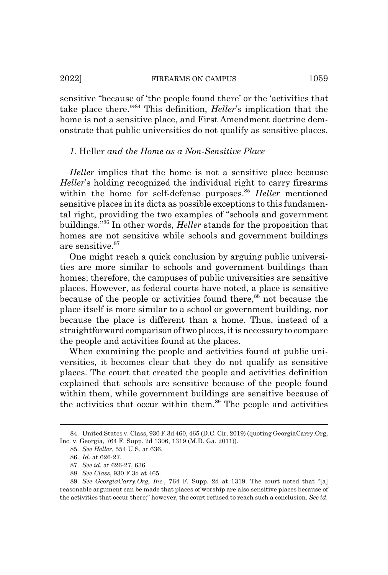2022] FIREARMS ON CAMPUS 1059

sensitive "because of 'the people found there' or the 'activities that take place there.'"84 This definition, *Heller*'s implication that the home is not a sensitive place, and First Amendment doctrine demonstrate that public universities do not qualify as sensitive places.

## *1.* Heller *and the Home as a Non-Sensitive Place*

*Heller* implies that the home is not a sensitive place because *Heller*'s holding recognized the individual right to carry firearms within the home for self-defense purposes.<sup>85</sup> *Heller* mentioned sensitive places in its dicta as possible exceptions to this fundamental right, providing the two examples of "schools and government buildings."86 In other words, *Heller* stands for the proposition that homes are not sensitive while schools and government buildings are sensitive.<sup>87</sup>

One might reach a quick conclusion by arguing public universities are more similar to schools and government buildings than homes; therefore, the campuses of public universities are sensitive places. However, as federal courts have noted, a place is sensitive because of the people or activities found there,<sup>88</sup> not because the place itself is more similar to a school or government building, nor because the place is different than a home. Thus, instead of a straightforward comparison of two places, it is necessary to compare the people and activities found at the places.

When examining the people and activities found at public universities, it becomes clear that they do not qualify as sensitive places. The court that created the people and activities definition explained that schools are sensitive because of the people found within them, while government buildings are sensitive because of the activities that occur within them.<sup>89</sup> The people and activities

<sup>84.</sup> United States v. Class, 930 F.3d 460, 465 (D.C. Cir. 2019) (quoting GeorgiaCarry.Org, Inc. v. Georgia, 764 F. Supp. 2d 1306, 1319 (M.D. Ga. 2011)).

<sup>85.</sup> *See Heller*, 554 U.S. at 636.

<sup>86.</sup> *Id.* at 626-27.

<sup>87.</sup> *See id.* at 626-27, 636.

<sup>88.</sup> *See Class*, 930 F.3d at 465.

<sup>89.</sup> *See GeorgiaCarry.Org, Inc.*, 764 F. Supp. 2d at 1319. The court noted that "[a] reasonable argument can be made that places of worship are also sensitive places because of the activities that occur there;" however, the court refused to reach such a conclusion. *See id.*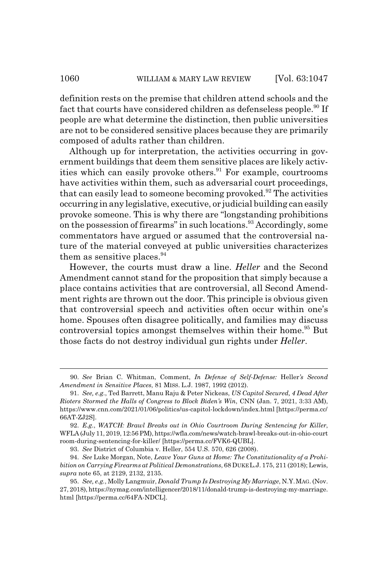definition rests on the premise that children attend schools and the fact that courts have considered children as defenseless people.<sup>90</sup> If people are what determine the distinction, then public universities are not to be considered sensitive places because they are primarily composed of adults rather than children.

Although up for interpretation, the activities occurring in government buildings that deem them sensitive places are likely activities which can easily provoke others.<sup>91</sup> For example, courtrooms have activities within them, such as adversarial court proceedings, that can easily lead to someone becoming provoked.<sup>92</sup> The activities occurring in any legislative, executive, or judicial building can easily provoke someone. This is why there are "longstanding prohibitions on the possession of firearms" in such locations.<sup>93</sup> Accordingly, some commentators have argued or assumed that the controversial nature of the material conveyed at public universities characterizes them as sensitive places.  $94$ 

However, the courts must draw a line. *Heller* and the Second Amendment cannot stand for the proposition that simply because a place contains activities that are controversial, all Second Amendment rights are thrown out the door. This principle is obvious given that controversial speech and activities often occur within one's home. Spouses often disagree politically, and families may discuss controversial topics amongst themselves within their home.<sup>95</sup> But those facts do not destroy individual gun rights under *Heller*.

<sup>90.</sup> *See* Brian C. Whitman, Comment, *In Defense of Self-Defense:* Heller*'s Second Amendment in Sensitive Places*, 81 MISS. L.J. 1987, 1992 (2012).

<sup>91.</sup> *See, e.g.*, Ted Barrett, Manu Raju & Peter Nickeas, *US Capitol Secured, 4 Dead After Rioters Stormed the Halls of Congress to Block Biden's Win*, CNN (Jan. 7, 2021, 3:33 AM), https://www.cnn.com/2021/01/06/politics/us-capitol-lockdown/index.html [https://perma.cc/ 66AT-ZJ2S].

<sup>92.</sup> *E.g.*, *WATCH: Brawl Breaks out in Ohio Courtroom During Sentencing for Killer*, WFLA (July 11, 2019, 12:56 PM), https://wfla.com/news/watch-brawl-breaks-out-in-ohio-court room-during-sentencing-for-killer/ [https://perma.cc/FVK6-QUBL].

<sup>93.</sup> *See* District of Columbia v. Heller, 554 U.S. 570, 626 (2008).

<sup>94.</sup> *See* Luke Morgan, Note, *Leave Your Guns at Home: The Constitutionality of a Prohibition on Carrying Firearms at Political Demonstrations*, 68 DUKE L.J. 175, 211 (2018); Lewis, *supra* note 65, at 2129, 2132, 2135.

<sup>95.</sup> *See, e.g.*, Molly Langmuir, *Donald Trump Is Destroying My Marriage*, N.Y.MAG. (Nov. 27, 2018), https://nymag.com/intelligencer/2018/11/donald-trump-is-destroying-my-marriage. html [https://perma.cc/64FA-NDCL].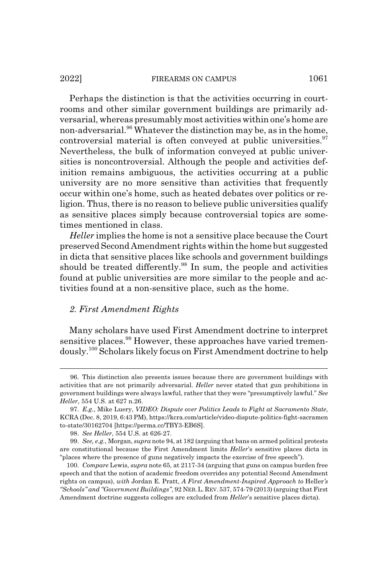Perhaps the distinction is that the activities occurring in courtrooms and other similar government buildings are primarily adversarial, whereas presumably most activities within one's home are non-adversarial.<sup>96</sup> Whatever the distinction may be, as in the home, controversial material is often conveyed at public universities.<sup>97</sup> Nevertheless, the bulk of information conveyed at public universities is noncontroversial. Although the people and activities definition remains ambiguous, the activities occurring at a public university are no more sensitive than activities that frequently occur within one's home, such as heated debates over politics or religion. Thus, there is no reason to believe public universities qualify as sensitive places simply because controversial topics are sometimes mentioned in class.

*Heller* implies the home is not a sensitive place because the Court preserved Second Amendment rights within the home but suggested in dicta that sensitive places like schools and government buildings should be treated differently.<sup>98</sup> In sum, the people and activities found at public universities are more similar to the people and activities found at a non-sensitive place, such as the home.

#### *2. First Amendment Rights*

Many scholars have used First Amendment doctrine to interpret sensitive places.<sup>99</sup> However, these approaches have varied tremendously.100 Scholars likely focus on First Amendment doctrine to help

<sup>96.</sup> This distinction also presents issues because there are government buildings with activities that are not primarily adversarial. *Heller* never stated that gun prohibitions in government buildings were always lawful, rather that they were "presumptively lawful." *See Heller*, 554 U.S. at 627 n.26.

<sup>97.</sup> *E.g.*, Mike Luery, *VIDEO: Dispute over Politics Leads to Fight at Sacramento State*, KCRA (Dec. 8, 2019, 6:43 PM), https://kcra.com/article/video-dispute-politics-fight-sacramen to-state/30162704 [https://perma.cc/TBY3-EB6S].

<sup>98.</sup> *See Heller*, 554 U.S. at 626-27.

<sup>99.</sup> *See, e.g.*, Morgan, *supra* note 94, at 182 (arguing that bans on armed political protests are constitutional because the First Amendment limits *Heller*'s sensitive places dicta in "places where the presence of guns negatively impacts the exercise of free speech").

<sup>100.</sup> *Compare* Lewis, *supra* note 65, at 2117-34 (arguing that guns on campus burden free speech and that the notion of academic freedom overrides any potential Second Amendment rights on campus), *with* Jordan E. Pratt, *A First Amendment-Inspired Approach to* Heller*'s "Schools" and "Government Buildings"*, 92 NEB.L.REV.537, 574-79 (2013) (arguing that First Amendment doctrine suggests colleges are excluded from *Heller*'s sensitive places dicta).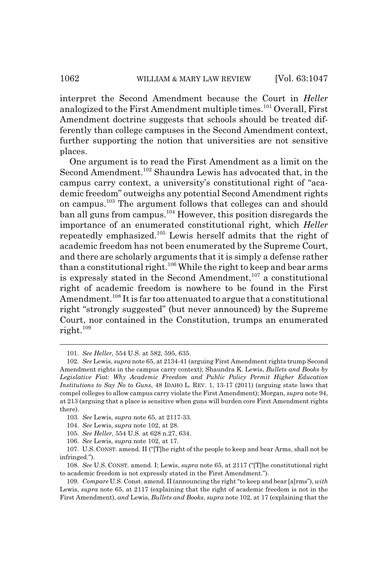interpret the Second Amendment because the Court in *Heller* analogized to the First Amendment multiple times.<sup>101</sup> Overall, First Amendment doctrine suggests that schools should be treated differently than college campuses in the Second Amendment context, further supporting the notion that universities are not sensitive places.

One argument is to read the First Amendment as a limit on the Second Amendment.<sup>102</sup> Shaundra Lewis has advocated that, in the campus carry context, a university's constitutional right of "academic freedom" outweighs any potential Second Amendment rights on campus.103 The argument follows that colleges can and should ban all guns from campus.104 However, this position disregards the importance of an enumerated constitutional right, which *Heller* repeatedly emphasized.105 Lewis herself admits that the right of academic freedom has not been enumerated by the Supreme Court, and there are scholarly arguments that it is simply a defense rather than a constitutional right.<sup>106</sup> While the right to keep and bear arms is expressly stated in the Second Amendment, $107$  a constitutional right of academic freedom is nowhere to be found in the First Amendment.<sup>108</sup> It is far too attenuated to argue that a constitutional right "strongly suggested" (but never announced) by the Supreme Court, nor contained in the Constitution, trumps an enumerated right.<sup>109</sup>

<sup>101.</sup> *See Heller*, 554 U.S. at 582, 595, 635.

<sup>102.</sup> *See* Lewis, *supra* note 65, at 2134-41 (arguing First Amendment rights trump Second Amendment rights in the campus carry context); Shaundra K. Lewis, *Bullets and Books by Legislative Fiat: Why Academic Freedom and Public Policy Permit Higher Education Institutions to Say No to Guns*, 48 IDAHO L. REV. 1, 13-17 (2011) (arguing state laws that compel colleges to allow campus carry violate the First Amendment); Morgan, *supra* note 94, at 213 (arguing that a place is sensitive when guns will burden core First Amendment rights there).

<sup>103.</sup> *See* Lewis, *supra* note 65, at 2117-33.

<sup>104.</sup> *See* Lewis, *supra* note 102, at 28.

<sup>105.</sup> *See Heller*, 554 U.S. at 628 n.27, 634.

<sup>106.</sup> *See* Lewis, *supra* note 102, at 17.

<sup>107.</sup> U.S. CONST. amend. II ("[T]he right of the people to keep and bear Arms, shall not be infringed.").

<sup>108.</sup> *See* U.S. CONST. amend. I; Lewis, *supra* note 65, at 2117 ("[T]he constitutional right to academic freedom is not expressly stated in the First Amendment.").

<sup>109.</sup> *Compare* U.S. Const. amend. II (announcing the right "to keep and bear [a]rms"), *with* Lewis, *supra* note 65, at 2117 (explaining that the right of academic freedom is not in the First Amendment), *and* Lewis, *Bullets and Books*, *supra* note 102, at 17 (explaining that the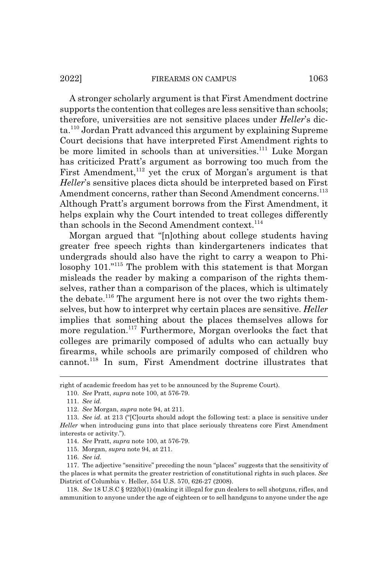A stronger scholarly argument is that First Amendment doctrine supports the contention that colleges are less sensitive than schools; therefore, universities are not sensitive places under *Heller*'s dicta.110 Jordan Pratt advanced this argument by explaining Supreme Court decisions that have interpreted First Amendment rights to be more limited in schools than at universities.<sup>111</sup> Luke Morgan has criticized Pratt's argument as borrowing too much from the First Amendment,<sup>112</sup> yet the crux of Morgan's argument is that *Heller*'s sensitive places dicta should be interpreted based on First Amendment concerns, rather than Second Amendment concerns.<sup>113</sup> Although Pratt's argument borrows from the First Amendment, it helps explain why the Court intended to treat colleges differently than schools in the Second Amendment context.<sup>114</sup>

Morgan argued that "[n]othing about college students having greater free speech rights than kindergarteners indicates that undergrads should also have the right to carry a weapon to Philosophy 101.<sup>"115</sup> The problem with this statement is that Morgan misleads the reader by making a comparison of the rights themselves, rather than a comparison of the places, which is ultimately the debate.<sup>116</sup> The argument here is not over the two rights themselves, but how to interpret why certain places are sensitive. *Heller* implies that something about the places themselves allows for more regulation.<sup>117</sup> Furthermore, Morgan overlooks the fact that colleges are primarily composed of adults who can actually buy firearms, while schools are primarily composed of children who cannot.118 In sum, First Amendment doctrine illustrates that

right of academic freedom has yet to be announced by the Supreme Court).

<sup>110.</sup> *See* Pratt, *supra* note 100, at 576-79.

<sup>111.</sup> *See id.* 

<sup>112.</sup> *See* Morgan, *supra* note 94, at 211.

<sup>113.</sup> *See id.* at 213 ("[C]ourts should adopt the following test: a place is sensitive under *Heller* when introducing guns into that place seriously threatens core First Amendment interests or activity.").

<sup>114.</sup> *See* Pratt, *supra* note 100, at 576-79.

<sup>115.</sup> Morgan, *supra* note 94, at 211.

<sup>116.</sup> *See id.*

<sup>117.</sup> The adjective "sensitive" preceding the noun "places" suggests that the sensitivity of the places is what permits the greater restriction of constitutional rights in such places. *See* District of Columbia v. Heller, 554 U.S. 570, 626-27 (2008).

<sup>118.</sup> *See* 18 U.S.C § 922(b)(1) (making it illegal for gun dealers to sell shotguns, rifles, and ammunition to anyone under the age of eighteen or to sell handguns to anyone under the age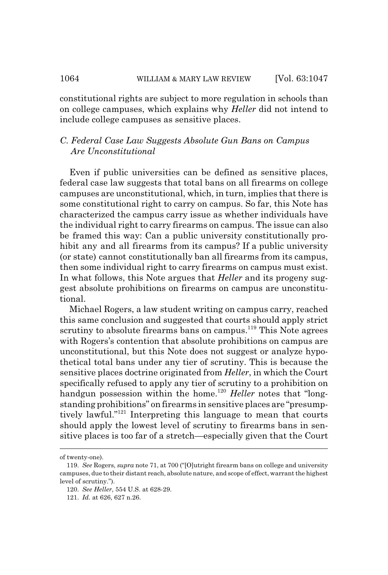constitutional rights are subject to more regulation in schools than on college campuses, which explains why *Heller* did not intend to include college campuses as sensitive places.

## *C. Federal Case Law Suggests Absolute Gun Bans on Campus Are Unconstitutional*

Even if public universities can be defined as sensitive places, federal case law suggests that total bans on all firearms on college campuses are unconstitutional, which, in turn, implies that there is some constitutional right to carry on campus. So far, this Note has characterized the campus carry issue as whether individuals have the individual right to carry firearms on campus. The issue can also be framed this way: Can a public university constitutionally prohibit any and all firearms from its campus? If a public university (or state) cannot constitutionally ban all firearms from its campus, then some individual right to carry firearms on campus must exist. In what follows, this Note argues that *Heller* and its progeny suggest absolute prohibitions on firearms on campus are unconstitutional.

Michael Rogers, a law student writing on campus carry, reached this same conclusion and suggested that courts should apply strict scrutiny to absolute firearms bans on campus.<sup>119</sup> This Note agrees with Rogers's contention that absolute prohibitions on campus are unconstitutional, but this Note does not suggest or analyze hypothetical total bans under any tier of scrutiny. This is because the sensitive places doctrine originated from *Heller*, in which the Court specifically refused to apply any tier of scrutiny to a prohibition on handgun possession within the home.<sup>120</sup> *Heller* notes that "longstanding prohibitions" on firearms in sensitive places are "presumptively lawful."121 Interpreting this language to mean that courts should apply the lowest level of scrutiny to firearms bans in sensitive places is too far of a stretch—especially given that the Court

of twenty-one).

<sup>119.</sup> *See* Rogers, *supra* note 71, at 700 ("[O]utright firearm bans on college and university campuses, due to their distant reach, absolute nature, and scope of effect, warrant the highest level of scrutiny.").

<sup>120.</sup> *See Heller*, 554 U.S. at 628-29.

<sup>121.</sup> *Id.* at 626, 627 n.26.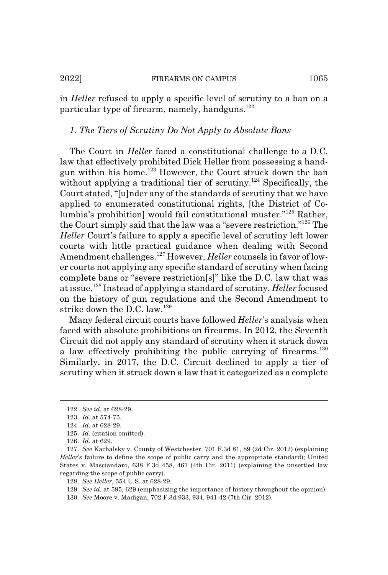in *Heller* refused to apply a specific level of scrutiny to a ban on a particular type of firearm, namely, handguns. $122$ 

#### *1. The Tiers of Scrutiny Do Not Apply to Absolute Bans*

The Court in *Heller* faced a constitutional challenge to a D.C. law that effectively prohibited Dick Heller from possessing a handgun within his home.<sup>123</sup> However, the Court struck down the ban without applying a traditional tier of scrutiny.<sup>124</sup> Specifically, the Court stated, "[u]nder any of the standards of scrutiny that we have applied to enumerated constitutional rights, [the District of Columbia's prohibition] would fail constitutional muster."125 Rather, the Court simply said that the law was a "severe restriction."126 The *Heller* Court's failure to apply a specific level of scrutiny left lower courts with little practical guidance when dealing with Second Amendment challenges.<sup>127</sup> However, *Heller* counsels in favor of lower courts not applying any specific standard of scrutiny when facing complete bans or "severe restriction[s]" like the D.C. law that was at issue.128 Instead of applying a standard of scrutiny, *Heller* focused on the history of gun regulations and the Second Amendment to strike down the D.C. law.<sup>129</sup>

Many federal circuit courts have followed *Heller*'s analysis when faced with absolute prohibitions on firearms. In 2012, the Seventh Circuit did not apply any standard of scrutiny when it struck down a law effectively prohibiting the public carrying of firearms.<sup>130</sup> Similarly, in 2017, the D.C. Circuit declined to apply a tier of scrutiny when it struck down a law that it categorized as a complete

<sup>122.</sup> *See id.* at 628-29.

<sup>123.</sup> *Id.* at 574-75.

<sup>124.</sup> *Id.* at 628-29.

<sup>125.</sup> *Id.* (citation omitted).

<sup>126.</sup> *Id.* at 629.

<sup>127.</sup> *See* Kachalsky v. County of Westchester, 701 F.3d 81, 89 (2d Cir. 2012) (explaining *Heller*'s failure to define the scope of public carry and the appropriate standard); United States v. Masciandaro, 638 F.3d 458, 467 (4th Cir. 2011) (explaining the unsettled law regarding the scope of public carry).

<sup>128.</sup> *See Heller*, 554 U.S. at 628-29.

<sup>129.</sup> *See id.* at 595, 629 (emphasizing the importance of history throughout the opinion).

<sup>130.</sup> *See* Moore v. Madigan, 702 F.3d 933, 934, 941-42 (7th Cir. 2012).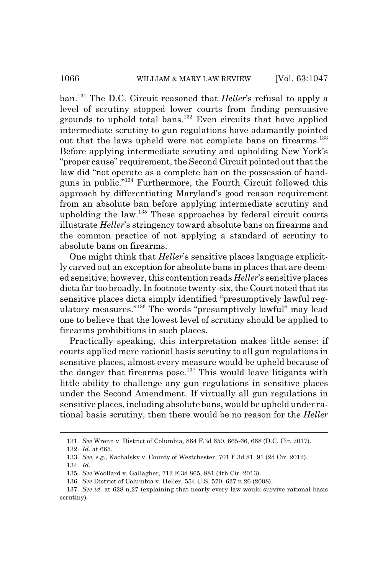ban.131 The D.C. Circuit reasoned that *Heller*'s refusal to apply a level of scrutiny stopped lower courts from finding persuasive grounds to uphold total bans.132 Even circuits that have applied intermediate scrutiny to gun regulations have adamantly pointed out that the laws upheld were not complete bans on firearms.<sup>133</sup> Before applying intermediate scrutiny and upholding New York's "proper cause" requirement, the Second Circuit pointed out that the law did "not operate as a complete ban on the possession of handguns in public."134 Furthermore, the Fourth Circuit followed this approach by differentiating Maryland's good reason requirement from an absolute ban before applying intermediate scrutiny and upholding the law.135 These approaches by federal circuit courts illustrate *Heller*'s stringency toward absolute bans on firearms and the common practice of not applying a standard of scrutiny to absolute bans on firearms.

One might think that *Heller*'s sensitive places language explicitly carved out an exception for absolute bans in places that are deemed sensitive; however, this contention reads *Heller*'s sensitive places dicta far too broadly. In footnote twenty-six, the Court noted that its sensitive places dicta simply identified "presumptively lawful regulatory measures."136 The words "presumptively lawful" may lead one to believe that the lowest level of scrutiny should be applied to firearms prohibitions in such places.

Practically speaking, this interpretation makes little sense: if courts applied mere rational basis scrutiny to all gun regulations in sensitive places, almost every measure would be upheld because of the danger that firearms pose.137 This would leave litigants with little ability to challenge any gun regulations in sensitive places under the Second Amendment. If virtually all gun regulations in sensitive places, including absolute bans, would be upheld under rational basis scrutiny, then there would be no reason for the *Heller*

<sup>131.</sup> *See* Wrenn v. District of Columbia, 864 F.3d 650, 665-66, 668 (D.C. Cir. 2017). 132. *Id.* at 665.

<sup>133.</sup> *See, e.g.*, Kachalsky v. County of Westchester, 701 F.3d 81, 91 (2d Cir. 2012).

<sup>134.</sup> *Id.*

<sup>135.</sup> *See* Woollard v. Gallagher, 712 F.3d 865, 881 (4th Cir. 2013).

<sup>136.</sup> *See* District of Columbia v. Heller, 554 U.S. 570, 627 n.26 (2008).

<sup>137.</sup> *See id.* at 628 n.27 (explaining that nearly every law would survive rational basis scrutiny).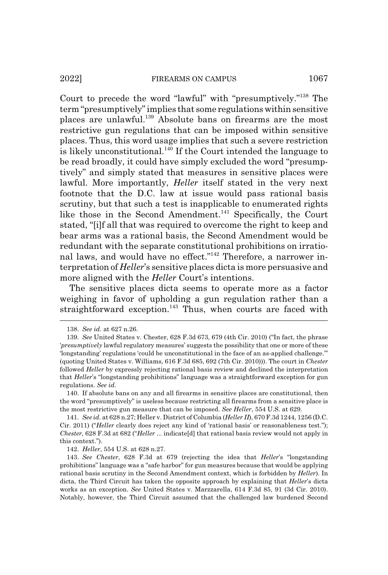Court to precede the word "lawful" with "presumptively."138 The term "presumptively" implies that some regulations within sensitive places are unlawful.139 Absolute bans on firearms are the most restrictive gun regulations that can be imposed within sensitive places. Thus, this word usage implies that such a severe restriction is likely unconstitutional.<sup>140</sup> If the Court intended the language to be read broadly, it could have simply excluded the word "presumptively" and simply stated that measures in sensitive places were lawful. More importantly, *Heller* itself stated in the very next footnote that the D.C. law at issue would pass rational basis scrutiny, but that such a test is inapplicable to enumerated rights like those in the Second Amendment.<sup>141</sup> Specifically, the Court stated, "[i]f all that was required to overcome the right to keep and bear arms was a rational basis, the Second Amendment would be redundant with the separate constitutional prohibitions on irrational laws, and would have no effect."<sup>142</sup> Therefore, a narrower interpretation of *Heller*'s sensitive places dicta is more persuasive and more aligned with the *Heller* Court's intentions.

The sensitive places dicta seems to operate more as a factor weighing in favor of upholding a gun regulation rather than a straightforward exception.<sup>143</sup> Thus, when courts are faced with

<sup>138.</sup> *See id.* at 627 n.26.

<sup>139.</sup> *See* United States v. Chester, 628 F.3d 673, 679 (4th Cir. 2010) ("In fact, the phrase '*presumptively* lawful regulatory measures' suggests the possibility that one or more of these 'longstanding' regulations 'could be unconstitutional in the face of an as-applied challenge.'" (quoting United States v. Williams, 616 F.3d 685, 692 (7th Cir. 2010))). The court in *Chester* followed *Heller* by expressly rejecting rational basis review and declined the interpretation that *Heller*'s "longstanding prohibitions" language was a straightforward exception for gun regulations. *See id.* 

<sup>140.</sup> If absolute bans on any and all firearms in sensitive places are constitutional, then the word "presumptively" is useless because restricting all firearms from a sensitive place is the most restrictive gun measure that can be imposed. *See Heller*, 554 U.S. at 629.

<sup>141.</sup> *See id.* at 628 n.27; Heller v. District of Columbia (*Heller II*), 670 F.3d 1244, 1256 (D.C. Cir. 2011) ("*Heller* clearly does reject any kind of 'rational basis' or reasonableness test."); *Chester*, 628 F.3d at 682 ("*Heller* ... indicate[d] that rational basis review would not apply in this context.").

<sup>142.</sup> *Heller*, 554 U.S. at 628 n.27.

<sup>143.</sup> *See Chester*, 628 F.3d at 679 (rejecting the idea that *Heller*'s "longstanding prohibitions" language was a "safe harbor" for gun measures because that would be applying rational basis scrutiny in the Second Amendment context, which is forbidden by *Heller*). In dicta, the Third Circuit has taken the opposite approach by explaining that *Heller*'s dicta works as an exception. *See* United States v. Marzzarella, 614 F.3d 85, 91 (3d Cir. 2010). Notably, however, the Third Circuit assumed that the challenged law burdened Second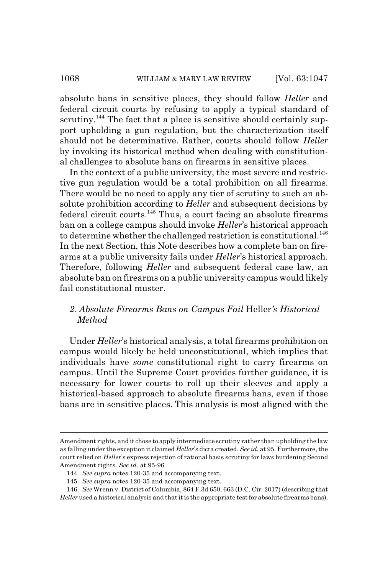absolute bans in sensitive places, they should follow *Heller* and federal circuit courts by refusing to apply a typical standard of scrutiny.<sup>144</sup> The fact that a place is sensitive should certainly support upholding a gun regulation, but the characterization itself should not be determinative. Rather, courts should follow *Heller* by invoking its historical method when dealing with constitutional challenges to absolute bans on firearms in sensitive places.

In the context of a public university, the most severe and restrictive gun regulation would be a total prohibition on all firearms. There would be no need to apply any tier of scrutiny to such an absolute prohibition according to *Heller* and subsequent decisions by federal circuit courts.145 Thus, a court facing an absolute firearms ban on a college campus should invoke *Heller*'s historical approach to determine whether the challenged restriction is constitutional.<sup>146</sup> In the next Section, this Note describes how a complete ban on firearms at a public university fails under *Heller*'s historical approach. Therefore, following *Heller* and subsequent federal case law, an absolute ban on firearms on a public university campus would likely fail constitutional muster.

## *2. Absolute Firearms Bans on Campus Fail* Heller*'s Historical Method*

Under *Heller*'s historical analysis, a total firearms prohibition on campus would likely be held unconstitutional, which implies that individuals have *some* constitutional right to carry firearms on campus. Until the Supreme Court provides further guidance, it is necessary for lower courts to roll up their sleeves and apply a historical-based approach to absolute firearms bans, even if those bans are in sensitive places. This analysis is most aligned with the

Amendment rights, and it chose to apply intermediate scrutiny rather than upholding the law as falling under the exception it claimed *Heller*'s dicta created. *See id.* at 95. Furthermore, the court relied on *Heller*'s express rejection of rational basis scrutiny for laws burdening Second Amendment rights. *See id.* at 95-96.

<sup>144.</sup> *See supra* notes 120-35 and accompanying text.

<sup>145.</sup> *See supra* notes 120-35 and accompanying text.

<sup>146.</sup> *See* Wrenn v. District of Columbia, 864 F.3d 650, 663 (D.C. Cir. 2017) (describing that *Heller* used a historical analysis and that it is the appropriate test for absolute firearms bans).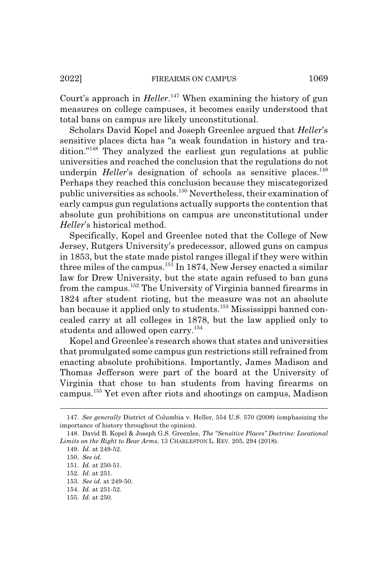Court's approach in *Heller*.<sup>147</sup> When examining the history of gun measures on college campuses, it becomes easily understood that total bans on campus are likely unconstitutional.

Scholars David Kopel and Joseph Greenlee argued that *Heller*'s sensitive places dicta has "a weak foundation in history and tradition."148 They analyzed the earliest gun regulations at public universities and reached the conclusion that the regulations do not underpin *Heller*'s designation of schools as sensitive places.<sup>149</sup> Perhaps they reached this conclusion because they miscategorized public universities as schools.150 Nevertheless, their examination of early campus gun regulations actually supports the contention that absolute gun prohibitions on campus are unconstitutional under *Heller*'s historical method.

Specifically, Kopel and Greenlee noted that the College of New Jersey, Rutgers University's predecessor, allowed guns on campus in 1853, but the state made pistol ranges illegal if they were within three miles of the campus.<sup>151</sup> In 1874, New Jersey enacted a similar law for Drew University, but the state again refused to ban guns from the campus.152 The University of Virginia banned firearms in 1824 after student rioting, but the measure was not an absolute ban because it applied only to students.<sup>153</sup> Mississippi banned concealed carry at all colleges in 1878, but the law applied only to students and allowed open carry.<sup>154</sup>

Kopel and Greenlee's research shows that states and universities that promulgated some campus gun restrictions still refrained from enacting absolute prohibitions. Importantly, James Madison and Thomas Jefferson were part of the board at the University of Virginia that chose to ban students from having firearms on campus.155 Yet even after riots and shootings on campus, Madison

<sup>147.</sup> *See generally* District of Columbia v. Heller, 554 U.S. 570 (2008) (emphasizing the importance of history throughout the opinion).

<sup>148.</sup> David B. Kopel & Joseph G.S. Greenlee, *The "Sensitive Places" Doctrine: Locational Limits on the Right to Bear Arms*, 13 CHARLESTON L. REV. 205, 294 (2018).

<sup>149.</sup> *Id.* at 249-52.

<sup>150.</sup> *See id.*

<sup>151.</sup> *Id.* at 250-51.

<sup>152.</sup> *Id.* at 251.

<sup>153.</sup> *See id.* at 249-50.

<sup>154.</sup> *Id.* at 251-52.

<sup>155.</sup> *Id.* at 250.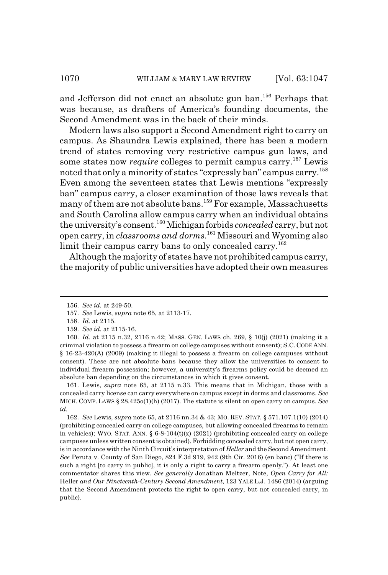and Jefferson did not enact an absolute gun ban.156 Perhaps that was because, as drafters of America's founding documents, the Second Amendment was in the back of their minds.

Modern laws also support a Second Amendment right to carry on campus. As Shaundra Lewis explained, there has been a modern trend of states removing very restrictive campus gun laws, and some states now *require* colleges to permit campus carry.<sup>157</sup> Lewis noted that only a minority of states "expressly ban" campus carry.<sup>158</sup> Even among the seventeen states that Lewis mentions "expressly ban" campus carry, a closer examination of those laws reveals that many of them are not absolute bans.<sup>159</sup> For example, Massachusetts and South Carolina allow campus carry when an individual obtains the university's consent.160 Michigan forbids *concealed* carry, but not open carry, in *classrooms and dorms*. 161 Missouri and Wyoming also limit their campus carry bans to only concealed carry.<sup>162</sup>

Although the majority of states have not prohibited campus carry, the majority of public universities have adopted their own measures

161. Lewis, *supra* note 65, at 2115 n.33. This means that in Michigan, those with a concealed carry license can carry everywhere on campus except in dorms and classrooms. *See* MICH. COMP. LAWS § 28.425o(1)(h) (2017). The statute is silent on open carry on campus. *See id.*

162. *See* Lewis, *supra* note 65, at 2116 nn.34 & 43; MO. REV. STAT. § 571.107.1(10) (2014) (prohibiting concealed carry on college campuses, but allowing concealed firearms to remain in vehicles); WYO. STAT. ANN.  $\S 6-8-104(t)(x)$  (2021) (prohibiting concealed carry on college campuses unless written consent is obtained). Forbidding concealed carry, but not open carry, is in accordance with the Ninth Circuit's interpretation of *Heller* and the Second Amendment. *See* Peruta v. County of San Diego, 824 F.3d 919, 942 (9th Cir. 2016) (en banc) ("If there is such a right [to carry in public], it is only a right to carry a firearm openly."). At least one commentator shares this view. *See generally* Jonathan Meltzer, Note, *Open Carry for All:* Heller *and Our Nineteenth-Century Second Amendment*, 123 YALE L.J. 1486 (2014) (arguing that the Second Amendment protects the right to open carry, but not concealed carry, in public).

<sup>156.</sup> *See id.* at 249-50.

<sup>157.</sup> *See* Lewis, *supra* note 65, at 2113-17.

<sup>158.</sup> *Id.* at 2115.

<sup>159.</sup> *See id.* at 2115-16.

<sup>160.</sup> *Id.* at 2115 n.32, 2116 n.42; MASS. GEN. LAWS ch. 269, § 10(j) (2021) (making it a criminal violation to possess a firearm on college campuses without consent); S.C. CODE ANN. § 16-23-420(A) (2009) (making it illegal to possess a firearm on college campuses without consent). These are not absolute bans because they allow the universities to consent to individual firearm possession; however, a university's firearms policy could be deemed an absolute ban depending on the circumstances in which it gives consent.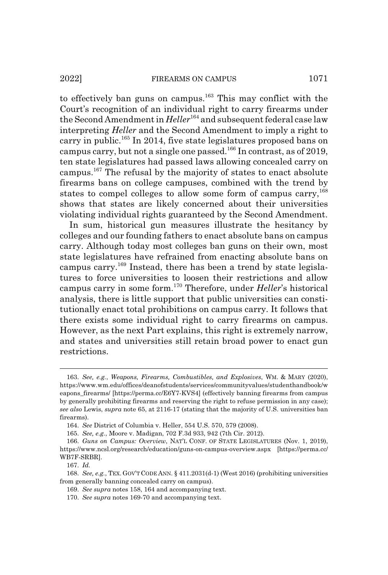to effectively ban guns on campus.<sup>163</sup> This may conflict with the Court's recognition of an individual right to carry firearms under the Second Amendment in *Heller*164 and subsequent federal case law interpreting *Heller* and the Second Amendment to imply a right to carry in public.<sup>165</sup> In 2014, five state legislatures proposed bans on campus carry, but not a single one passed.<sup>166</sup> In contrast, as of 2019, ten state legislatures had passed laws allowing concealed carry on campus.167 The refusal by the majority of states to enact absolute firearms bans on college campuses, combined with the trend by states to compel colleges to allow some form of campus carry.<sup>168</sup> shows that states are likely concerned about their universities violating individual rights guaranteed by the Second Amendment.

In sum, historical gun measures illustrate the hesitancy by colleges and our founding fathers to enact absolute bans on campus carry. Although today most colleges ban guns on their own, most state legislatures have refrained from enacting absolute bans on campus carry.169 Instead, there has been a trend by state legislatures to force universities to loosen their restrictions and allow campus carry in some form.170 Therefore, under *Heller*'s historical analysis, there is little support that public universities can constitutionally enact total prohibitions on campus carry. It follows that there exists some individual right to carry firearms on campus. However, as the next Part explains, this right is extremely narrow, and states and universities still retain broad power to enact gun restrictions.

<sup>163.</sup> *See, e.g.*, *Weapons, Firearms, Combustibles, and Explosives*, WM.&MARY (2020), https://www.wm.edu/offices/deanofstudents/services/communityvalues/studenthandbook/w eapons firearms/ [https://perma.cc/E6Y7-KVS4] (effectively banning firearms from campus by generally prohibiting firearms and reserving the right to refuse permission in any case); *see also* Lewis, *supra* note 65, at 2116-17 (stating that the majority of U.S. universities ban firearms).

<sup>164.</sup> *See* District of Columbia v. Heller, 554 U.S. 570, 579 (2008).

<sup>165.</sup> *See, e.g.*, Moore v. Madigan, 702 F.3d 933, 942 (7th Cir. 2012).

<sup>166.</sup> *Guns on Campus: Overview*, NAT'L CONF. OF STATE LEGISLATURES (Nov. 1, 2019), https://www.ncsl.org/research/education/guns-on-campus-overview.aspx [https://perma.cc/ WB7F-SRBR].

<sup>167.</sup> *Id.*

<sup>168.</sup> *See, e.g.*, TEX. GOV'T CODE ANN. § 411.2031(d-1) (West 2016) (prohibiting universities from generally banning concealed carry on campus).

<sup>169.</sup> *See supra* notes 158, 164 and accompanying text.

<sup>170.</sup> *See supra* notes 169-70 and accompanying text.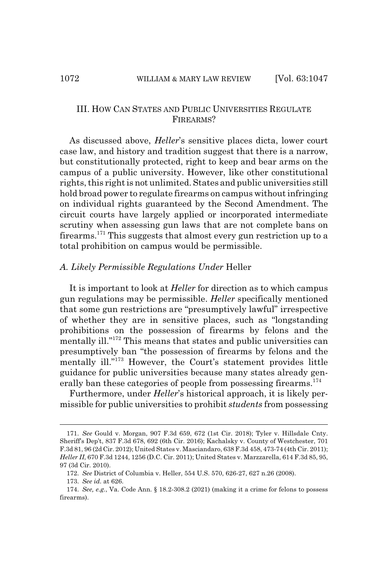## III. HOW CAN STATES AND PUBLIC UNIVERSITIES REGULATE FIREARMS?

As discussed above, *Heller*'s sensitive places dicta, lower court case law, and history and tradition suggest that there is a narrow, but constitutionally protected, right to keep and bear arms on the campus of a public university. However, like other constitutional rights, this right is not unlimited. States and public universities still hold broad power to regulate firearms on campus without infringing on individual rights guaranteed by the Second Amendment. The circuit courts have largely applied or incorporated intermediate scrutiny when assessing gun laws that are not complete bans on firearms.171 This suggests that almost every gun restriction up to a total prohibition on campus would be permissible.

#### *A. Likely Permissible Regulations Under* Heller

It is important to look at *Heller* for direction as to which campus gun regulations may be permissible. *Heller* specifically mentioned that some gun restrictions are "presumptively lawful" irrespective of whether they are in sensitive places, such as "longstanding prohibitions on the possession of firearms by felons and the mentally ill."<sup>172</sup> This means that states and public universities can presumptively ban "the possession of firearms by felons and the mentally ill."<sup>173</sup> However, the Court's statement provides little guidance for public universities because many states already generally ban these categories of people from possessing firearms.<sup>174</sup>

Furthermore, under *Heller*'s historical approach, it is likely permissible for public universities to prohibit *students* from possessing

<sup>171.</sup> *See* Gould v. Morgan, 907 F.3d 659, 672 (1st Cir. 2018); Tyler v. Hillsdale Cnty. Sheriff's Dep't, 837 F.3d 678, 692 (6th Cir. 2016); Kachalsky v. County of Westchester, 701 F.3d 81, 96 (2d Cir. 2012); United States v. Masciandaro, 638 F.3d 458, 473-74 (4th Cir. 2011); *Heller II*, 670 F.3d 1244, 1256 (D.C. Cir. 2011); United States v. Marzzarella, 614 F.3d 85, 95, 97 (3d Cir. 2010).

<sup>172.</sup> *See* District of Columbia v. Heller, 554 U.S. 570, 626-27, 627 n.26 (2008).

<sup>173.</sup> *See id.* at 626.

<sup>174.</sup> *See, e.g.*, Va. Code Ann. § 18.2-308.2 (2021) (making it a crime for felons to possess firearms).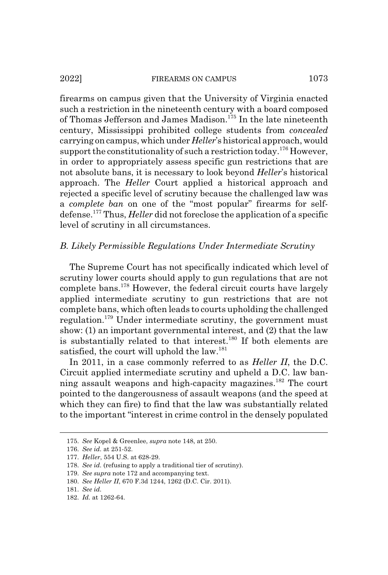2022] FIREARMS ON CAMPUS 1073

firearms on campus given that the University of Virginia enacted such a restriction in the nineteenth century with a board composed of Thomas Jefferson and James Madison.175 In the late nineteenth century, Mississippi prohibited college students from *concealed* carrying on campus, which under *Heller*'s historical approach, would support the constitutionality of such a restriction today.<sup>176</sup> However, in order to appropriately assess specific gun restrictions that are not absolute bans, it is necessary to look beyond *Heller*'s historical approach. The *Heller* Court applied a historical approach and rejected a specific level of scrutiny because the challenged law was a *complete ban* on one of the "most popular" firearms for selfdefense.177 Thus, *Heller* did not foreclose the application of a specific level of scrutiny in all circumstances.

## *B. Likely Permissible Regulations Under Intermediate Scrutiny*

The Supreme Court has not specifically indicated which level of scrutiny lower courts should apply to gun regulations that are not complete bans.178 However, the federal circuit courts have largely applied intermediate scrutiny to gun restrictions that are not complete bans, which often leads to courts upholding the challenged regulation.<sup>179</sup> Under intermediate scrutiny, the government must show: (1) an important governmental interest, and (2) that the law is substantially related to that interest.<sup>180</sup> If both elements are satisfied, the court will uphold the law.<sup>181</sup>

In 2011, in a case commonly referred to as *Heller II*, the D.C. Circuit applied intermediate scrutiny and upheld a D.C. law banning assault weapons and high-capacity magazines.<sup>182</sup> The court pointed to the dangerousness of assault weapons (and the speed at which they can fire) to find that the law was substantially related to the important "interest in crime control in the densely populated

<sup>175.</sup> *See* Kopel & Greenlee, *supra* note 148, at 250.

<sup>176.</sup> *See id.* at 251-52.

<sup>177.</sup> *Heller*, 554 U.S. at 628-29.

<sup>178.</sup> *See id.* (refusing to apply a traditional tier of scrutiny).

<sup>179.</sup> *See supra* note 172 and accompanying text.

<sup>180.</sup> *See Heller II*, 670 F.3d 1244, 1262 (D.C. Cir. 2011).

<sup>181.</sup> *See id.*

<sup>182.</sup> *Id.* at 1262-64.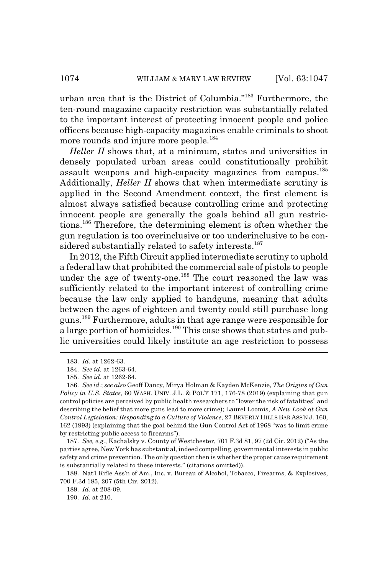urban area that is the District of Columbia."183 Furthermore, the ten-round magazine capacity restriction was substantially related to the important interest of protecting innocent people and police officers because high-capacity magazines enable criminals to shoot more rounds and injure more people.<sup>184</sup>

*Heller II* shows that, at a minimum, states and universities in densely populated urban areas could constitutionally prohibit assault weapons and high-capacity magazines from campus.<sup>185</sup> Additionally, *Heller II* shows that when intermediate scrutiny is applied in the Second Amendment context, the first element is almost always satisfied because controlling crime and protecting innocent people are generally the goals behind all gun restrictions.186 Therefore, the determining element is often whether the gun regulation is too overinclusive or too underinclusive to be considered substantially related to safety interests.<sup>187</sup>

In 2012, the Fifth Circuit applied intermediate scrutiny to uphold a federal law that prohibited the commercial sale of pistols to people under the age of twenty-one.<sup>188</sup> The court reasoned the law was sufficiently related to the important interest of controlling crime because the law only applied to handguns, meaning that adults between the ages of eighteen and twenty could still purchase long guns.189 Furthermore, adults in that age range were responsible for a large portion of homicides.190 This case shows that states and public universities could likely institute an age restriction to possess

<sup>183.</sup> *Id.* at 1262-63.

<sup>184.</sup> *See id.* at 1263-64.

<sup>185.</sup> *See id.* at 1262-64.

<sup>186.</sup> *See id.*; *see also* Geoff Dancy, Mirya Holman & Kayden McKenzie, *The Origins of Gun Policy in U.S. States*, 60 WASH. UNIV. J.L. & POL'Y 171, 176-78 (2019) (explaining that gun control policies are perceived by public health researchers to "lower the risk of fatalities" and describing the belief that more guns lead to more crime); Laurel Loomis, *A New Look at Gun Control Legislation: Responding to a Culture of Violence*, 27 BEVERLY HILLS BAR ASS'N J. 160, 162 (1993) (explaining that the goal behind the Gun Control Act of 1968 "was to limit crime by restricting public access to firearms").

<sup>187.</sup> *See, e.g.*, Kachalsky v. County of Westchester, 701 F.3d 81, 97 (2d Cir. 2012) ("As the parties agree, New York has substantial, indeed compelling, governmental interests in public safety and crime prevention. The only question then is whether the proper cause requirement is substantially related to these interests." (citations omitted)).

<sup>188.</sup> Nat'l Rifle Ass'n of Am., Inc. v. Bureau of Alcohol, Tobacco, Firearms, & Explosives, 700 F.3d 185, 207 (5th Cir. 2012).

<sup>189.</sup> *Id.* at 208-09.

<sup>190.</sup> *Id.* at 210.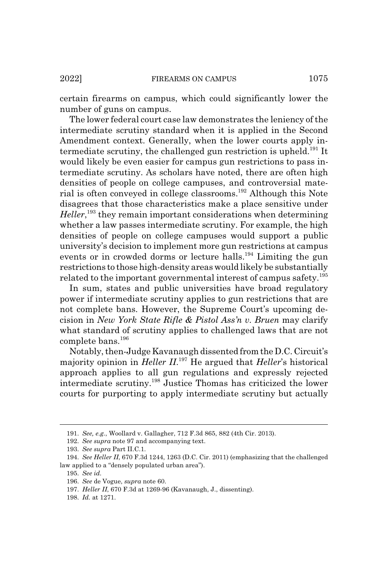certain firearms on campus, which could significantly lower the number of guns on campus.

The lower federal court case law demonstrates the leniency of the intermediate scrutiny standard when it is applied in the Second Amendment context. Generally, when the lower courts apply intermediate scrutiny, the challenged gun restriction is upheld.<sup>191</sup> It would likely be even easier for campus gun restrictions to pass intermediate scrutiny. As scholars have noted, there are often high densities of people on college campuses, and controversial material is often conveyed in college classrooms.<sup>192</sup> Although this Note disagrees that those characteristics make a place sensitive under Heller,<sup>193</sup> they remain important considerations when determining whether a law passes intermediate scrutiny. For example, the high densities of people on college campuses would support a public university's decision to implement more gun restrictions at campus events or in crowded dorms or lecture halls.<sup>194</sup> Limiting the gun restrictions to those high-density areas would likely be substantially related to the important governmental interest of campus safety.<sup>195</sup>

In sum, states and public universities have broad regulatory power if intermediate scrutiny applies to gun restrictions that are not complete bans. However, the Supreme Court's upcoming decision in *New York State Rifle & Pistol Ass'n v. Bruen* may clarify what standard of scrutiny applies to challenged laws that are not complete bans.<sup>196</sup>

Notably, then-Judge Kavanaugh dissented from the D.C. Circuit's majority opinion in *Heller II*. 197 He argued that *Heller*'s historical approach applies to all gun regulations and expressly rejected intermediate scrutiny.198 Justice Thomas has criticized the lower courts for purporting to apply intermediate scrutiny but actually

<sup>191.</sup> *See, e.g.*, Woollard v. Gallagher, 712 F.3d 865, 882 (4th Cir. 2013).

<sup>192.</sup> *See supra* note 97 and accompanying text.

<sup>193.</sup> *See supra* Part II.C.1.

<sup>194.</sup> *See Heller II*, 670 F.3d 1244, 1263 (D.C. Cir. 2011) (emphasizing that the challenged law applied to a "densely populated urban area").

<sup>195.</sup> *See id.*

<sup>196.</sup> *See* de Vogue, *supra* note 60.

<sup>197.</sup> *Heller II*, 670 F.3d at 1269-96 (Kavanaugh, J., dissenting).

<sup>198.</sup> *Id.* at 1271.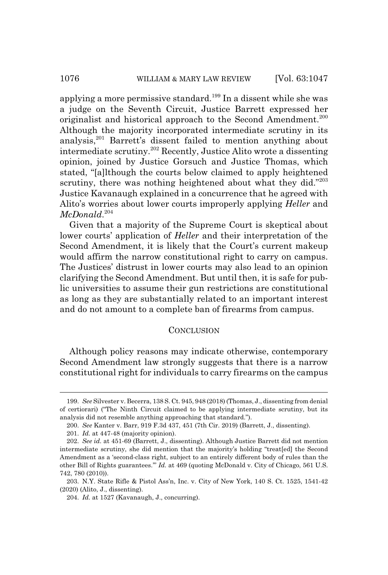applying a more permissive standard.<sup>199</sup> In a dissent while she was a judge on the Seventh Circuit, Justice Barrett expressed her originalist and historical approach to the Second Amendment.<sup>200</sup> Although the majority incorporated intermediate scrutiny in its analysis,201 Barrett's dissent failed to mention anything about intermediate scrutiny.202 Recently, Justice Alito wrote a dissenting opinion, joined by Justice Gorsuch and Justice Thomas, which stated, "[a]lthough the courts below claimed to apply heightened scrutiny, there was nothing heightened about what they did."203 Justice Kavanaugh explained in a concurrence that he agreed with Alito's worries about lower courts improperly applying *Heller* and *McDonald*. 204

Given that a majority of the Supreme Court is skeptical about lower courts' application of *Heller* and their interpretation of the Second Amendment, it is likely that the Court's current makeup would affirm the narrow constitutional right to carry on campus. The Justices' distrust in lower courts may also lead to an opinion clarifying the Second Amendment. But until then, it is safe for public universities to assume their gun restrictions are constitutional as long as they are substantially related to an important interest and do not amount to a complete ban of firearms from campus.

#### **CONCLUSION**

Although policy reasons may indicate otherwise, contemporary Second Amendment law strongly suggests that there is a narrow constitutional right for individuals to carry firearms on the campus

<sup>199.</sup> *See* Silvester v. Becerra, 138 S. Ct. 945, 948 (2018) (Thomas, J., dissenting from denial of certiorari) ("The Ninth Circuit claimed to be applying intermediate scrutiny, but its analysis did not resemble anything approaching that standard.").

<sup>200.</sup> *See* Kanter v. Barr, 919 F.3d 437, 451 (7th Cir. 2019) (Barrett, J., dissenting).

<sup>201.</sup> *Id.* at 447-48 (majority opinion).

<sup>202.</sup> *See id.* at 451-69 (Barrett, J., dissenting). Although Justice Barrett did not mention intermediate scrutiny, she did mention that the majority's holding "treat[ed] the Second Amendment as a 'second-class right, subject to an entirely different body of rules than the other Bill of Rights guarantees.'" *Id.* at 469 (quoting McDonald v. City of Chicago, 561 U.S. 742, 780 (2010)).

<sup>203.</sup> N.Y. State Rifle & Pistol Ass'n, Inc. v. City of New York, 140 S. Ct. 1525, 1541-42 (2020) (Alito, J., dissenting).

<sup>204.</sup> *Id.* at 1527 (Kavanaugh, J., concurring).